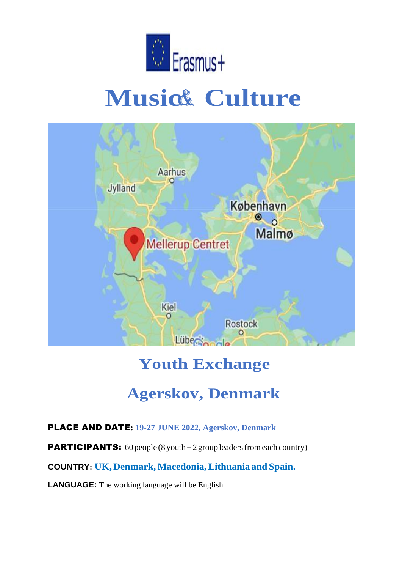

# **Music& Culture**



# **Youth Exchange**

# **Agerskov, Denmark**

## PLACE AND DATE**: 19-27 JUNE 2022, Agerskov, Denmark**

**PARTICIPANTS:** 60 people (8 youth + 2 group leaders from each country)

**COUNTRY: UK, Denmark,Macedonia,Lithuania and Spain.**

**LANGUAGE:** The working language will be English.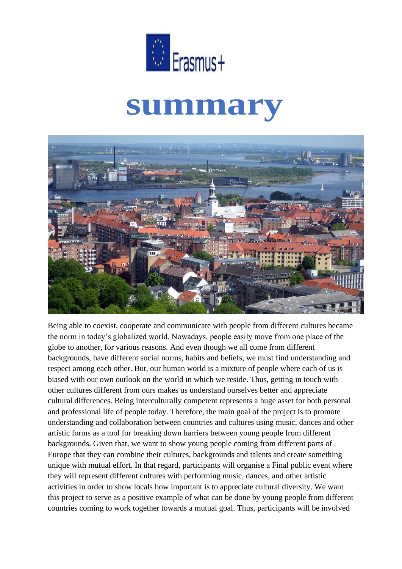

# **summary**



Being able to coexist, cooperate and communicate with people from different cultures became the norm in today's globalized world. Nowadays, people easily move from one place of the globe to another, for various reasons. And even though we all come from different backgrounds, have different social norms, habits and beliefs, we must find understanding and respect among each other. But, our human world is a mixture of people where each of us is biased with our own outlook on the world in which we reside. Thus, getting in touch with other cultures different from ours makes us understand ourselves better and appreciate cultural differences. Being interculturally competent represents a huge asset for both personal and professional life of people today. Therefore, the main goal of the project is to promote understanding and collaboration between countries and cultures using music, dances and other artistic forms as a tool for breaking down barriers between young people from different backgrounds. Given that, we want to show young people coming from different parts of Europe that they can combine their cultures, backgrounds and talents and create something unique with mutual effort. In that regard, participants will organise a Final public event where they will represent different cultures with performing music, dances, and other artistic activities in order to show locals how important is to appreciate cultural diversity. We want this project to serve as a positive example of what can be done by young people from different countries coming to work together towards a mutual goal. Thus, participants will be involved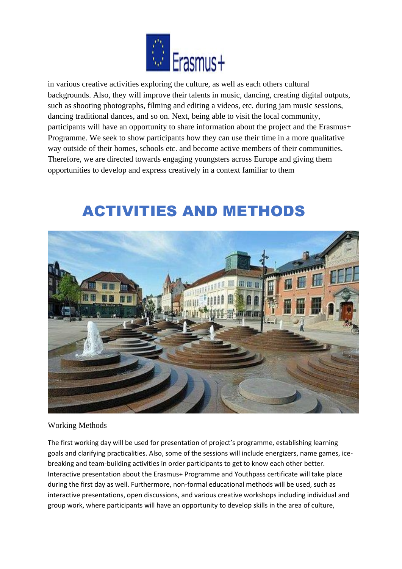

in various creative activities exploring the culture, as well as each others cultural backgrounds. Also, they will improve their talents in music, dancing, creating digital outputs, such as shooting photographs, filming and editing a videos, etc. during jam music sessions, dancing traditional dances, and so on. Next, being able to visit the local community, participants will have an opportunity to share information about the project and the Erasmus+ Programme. We seek to show participants how they can use their time in a more qualitative way outside of their homes, schools etc. and become active members of their communities. Therefore, we are directed towards engaging youngsters across Europe and giving them opportunities to develop and express creatively in a context familiar to them

# ACTIVITIES AND METHODS



Working Methods

The first working day will be used for presentation of project's programme, establishing learning goals and clarifying practicalities. Also, some of the sessions will include energizers, name games, icebreaking and team-building activities in order participants to get to know each other better. Interactive presentation about the Erasmus+ Programme and Youthpass certificate will take place during the first day as well. Furthermore, non-formal educational methods will be used, such as interactive presentations, open discussions, and various creative workshops including individual and group work, where participants will have an opportunity to develop skills in the area of culture,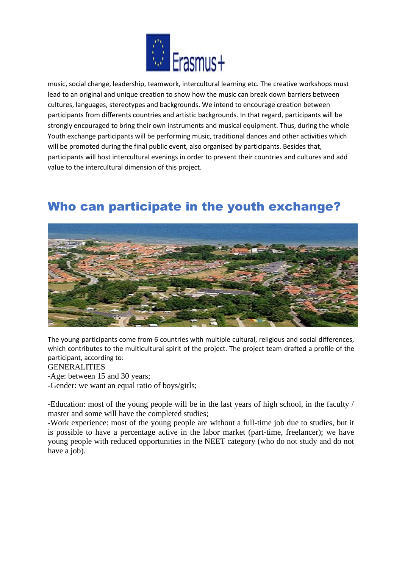

music, social change, leadership, teamwork, intercultural learning etc. The creative workshops must lead to an original and unique creation to show how the music can break down barriers between cultures, languages, stereotypes and backgrounds. We intend to encourage creation between participants from differents countries and artistic backgrounds. In that regard, participants will be strongly encouraged to bring their own instruments and musical equipment. Thus, during the whole Youth exchange participants will be performing music, traditional dances and other activities which will be promoted during the final public event, also organised by participants. Besides that, participants will host intercultural evenings in order to present their countries and cultures and add value to the intercultural dimension of this project.

## Who can participate in the youth exchange?



The young participants come from 6 countries with multiple cultural, religious and social differences, which contributes to the multicultural spirit of the project. The project team drafted a profile of the participant, according to:

GENERALITIES

-Age: between 15 and 30 years;

-Gender: we want an equal ratio of boys/girls;

-Education: most of the young people will be in the last years of high school, in the faculty / master and some will have the completed studies;

-Work experience: most of the young people are without a full-time job due to studies, but it is possible to have a percentage active in the labor market (part-time, freelancer); we have young people with reduced opportunities in the NEET category (who do not study and do not have a job).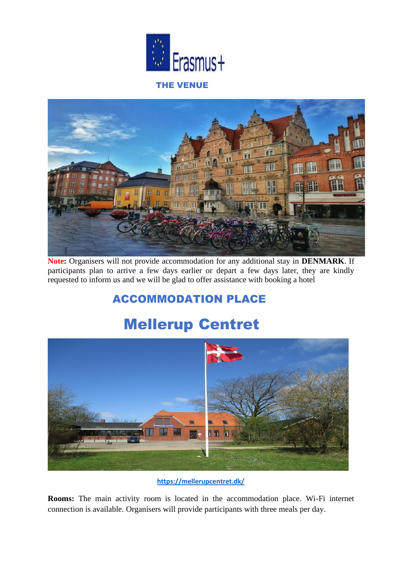



**Note:** Organisers will not provide accommodation for any additional stay in **DENMARK**. If participants plan to arrive a few days earlier or depart a few days later, they are kindly requested to inform us and we will be glad to offer assistance with booking a hotel

## ACCOMMODATION PLACE

# Mellerup Centret



**<https://mellerupcentret.dk/>**

**Rooms:** The main activity room is located in the accommodation place. Wi-Fi internet connection is available. Organisers will provide participants with three meals per day.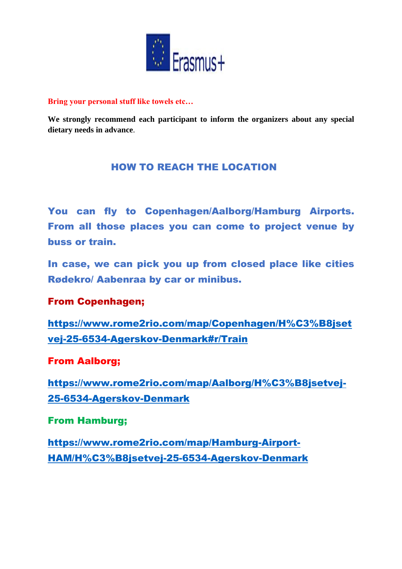

#### **Bring your personal stuff like towels etc…**

**We strongly recommend each participant to inform the organizers about any special dietary needs in advance**.

### HOW TO REACH THE LOCATION

You can fly to Copenhagen/Aalborg/Hamburg Airports. From all those places you can come to project venue by buss or train.

In case, we can pick you up from closed place like cities Rødekro/ Aabenraa by car or minibus.

#### From Copenhagen;

[https://www.rome2rio.com/map/Copenhagen/H%C3%B8jset](https://www.rome2rio.com/map/Copenhagen/H%C3%B8jsetvej-25-6534-Agerskov-Denmark%23r/Train) [vej-25-6534-Agerskov-Denmark#r/Train](https://www.rome2rio.com/map/Copenhagen/H%C3%B8jsetvej-25-6534-Agerskov-Denmark%23r/Train)

### From Aalborg;

[https://www.rome2rio.com/map/Aalborg/H%C3%B8jsetvej-](https://www.rome2rio.com/map/Aalborg/H%C3%B8jsetvej-25-6534-Agerskov-Denmark)[25-6534-Agerskov-Denmark](https://www.rome2rio.com/map/Aalborg/H%C3%B8jsetvej-25-6534-Agerskov-Denmark)

#### From Hamburg;

[https://www.rome2rio.com/map/Hamburg-Airport-](https://www.rome2rio.com/map/Hamburg-Airport-HAM/H%C3%B8jsetvej-25-6534-Agerskov-Denmark)[HAM/H%C3%B8jsetvej-25-6534-Agerskov-Denmark](https://www.rome2rio.com/map/Hamburg-Airport-HAM/H%C3%B8jsetvej-25-6534-Agerskov-Denmark)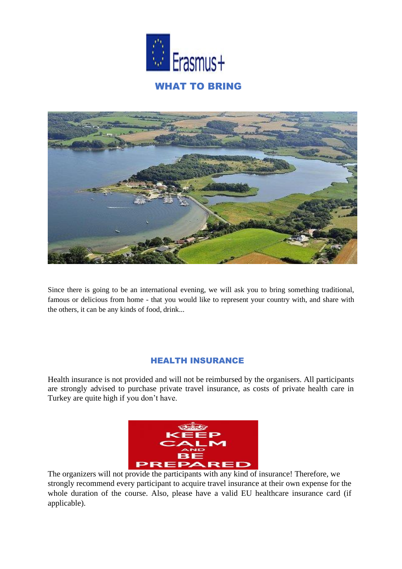



Since there is going to be an international evening, we will ask you to bring something traditional, famous or delicious from home - that you would like to represent your country with, and share with the others, it can be any kinds of food, drink...

#### HEALTH INSURANCE

Health insurance is not provided and will not be reimbursed by the organisers. All participants are strongly advised to purchase private travel insurance, as costs of private health care in Turkey are quite high if you don't have.



The organizers will not provide the participants with any kind of insurance! Therefore, we strongly recommend every participant to acquire travel insurance at their own expense for the whole duration of the course. Also, please have a valid EU healthcare insurance card (if applicable).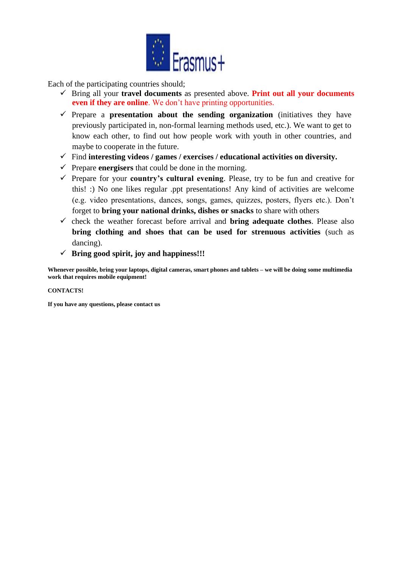

Each of the participating countries should;

- ✓ Bring all your **travel documents** as presented above. **Print out all your documents even if they are online**. We don't have printing opportunities.
- ✓ Prepare a **presentation about the sending organization** (initiatives they have previously participated in, non-formal learning methods used, etc.). We want to get to know each other, to find out how people work with youth in other countries, and maybe to cooperate in the future.
- ✓ Find **interesting videos / games / exercises / educational activities on diversity.**
- $\checkmark$  Prepare **energisers** that could be done in the morning.
- ✓ Prepare for your **country's cultural evening**. Please, try to be fun and creative for this! :) No one likes regular .ppt presentations! Any kind of activities are welcome (e.g. video presentations, dances, songs, games, quizzes, posters, flyers etc.). Don't forget to **bring your national drinks, dishes or snacks** to share with others
- $\checkmark$  check the weather forecast before arrival and **bring adequate clothes**. Please also **bring clothing and shoes that can be used for strenuous activities** (such as dancing).
- ✓ **Bring good spirit, joy and happiness!!!**

**Whenever possible, bring your laptops, digital cameras, smart phones and tablets – we will be doing some multimedia work that requires mobile equipment!**

#### **CONTACTS!**

**If you have any questions, please contact us**